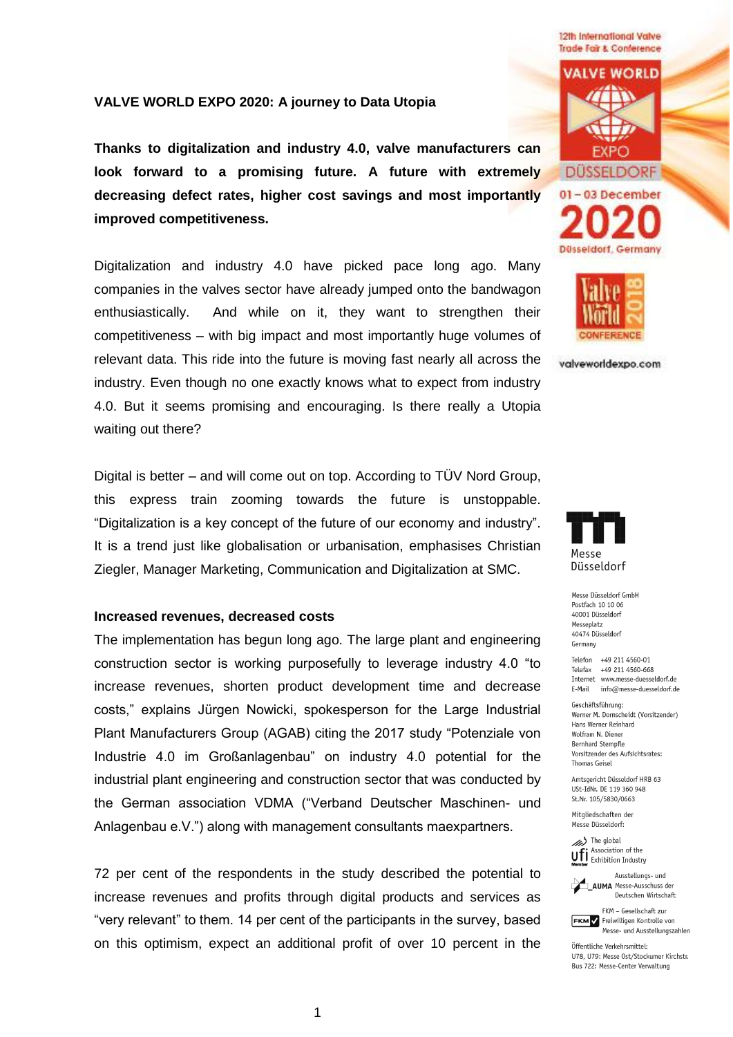**VALVE WORLD EXPO 2020: A journey to Data Utopia**

**Thanks to digitalization and industry 4.0, valve manufacturers can look forward to a promising future. A future with extremely decreasing defect rates, higher cost savings and most importantly improved competitiveness.**

Digitalization and industry 4.0 have picked pace long ago. Many companies in the valves sector have already jumped onto the bandwagon enthusiastically. And while on it, they want to strengthen their competitiveness – with big impact and most importantly huge volumes of relevant data. This ride into the future is moving fast nearly all across the industry. Even though no one exactly knows what to expect from industry 4.0. But it seems promising and encouraging. Is there really a Utopia waiting out there?

Digital is better – and will come out on top. According to TÜV Nord Group, this express train zooming towards the future is unstoppable. "Digitalization is a key concept of the future of our economy and industry". It is a trend just like globalisation or urbanisation, emphasises Christian Ziegler, Manager Marketing, Communication and Digitalization at SMC.

### **Increased revenues, decreased costs**

The implementation has begun long ago. The large plant and engineering construction sector is working purposefully to leverage industry 4.0 "to increase revenues, shorten product development time and decrease costs," explains Jürgen Nowicki, spokesperson for the Large Industrial Plant Manufacturers Group (AGAB) citing the 2017 study "Potenziale von Industrie 4.0 im Großanlagenbau" on industry 4.0 potential for the industrial plant engineering and construction sector that was conducted by the German association VDMA ("Verband Deutscher Maschinen- und Anlagenbau e.V.") along with management consultants maexpartners.

72 per cent of the respondents in the study described the potential to increase revenues and profits through digital products and services as "very relevant" to them. 14 per cent of the participants in the survey, based on this optimism, expect an additional profit of over 10 percent in the





valveworldexpo.com



Messe Düsseldorf GmbH Postfach 10 10 06 40001 Düsseldorf Messenlatz 40474 Düsseldorf Germany

Telefon +49 211 4560-01 Telefax +49 211 4560-668 Internet www.messe-duesseldorf.de E-Mail info@messe-duesseldorf.de

Geschäftsführung: Werner M. Dornscheidt (Vorsitzender) Hans Werner Reinhard Wolfram N. Diener **Bernhard Stempfle** Vorsitzender des Aufsichtsrates: Thomas Geisel

Amtsgericht Düsseldorf HRB 63 USt-IdNr. DE 119 360 948 St.Nr. 105/5830/0663

Mitaliedschaften der Messe Düsseldorf:

> The global Ufi Association of the



**AUMA** Messe-Ausschuss der Deutschen Wirtschaft

FKM - Gesellschaft zur **FKM** Freiwilligen Kontrolle von Messe- und Ausstellungszahlen

Öffentliche Verkehrsmittel: 1178 1179: Messe Ost/Stockumer Kirchstr Bus 722: Messe-Center Verwaltung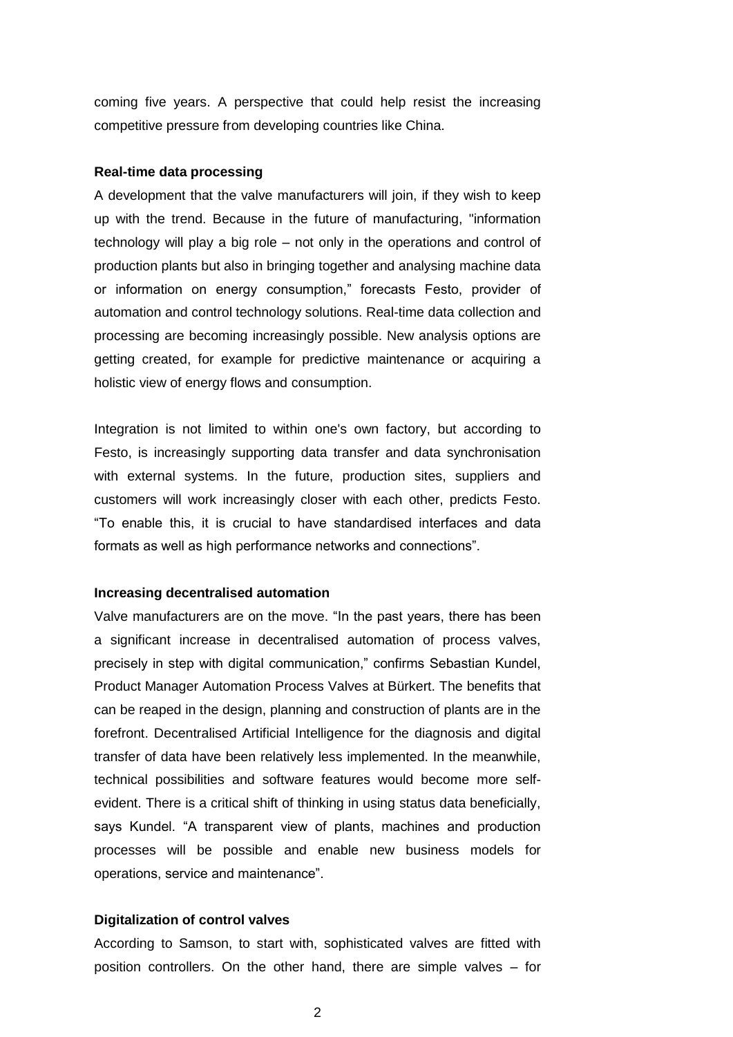coming five years. A perspective that could help resist the increasing competitive pressure from developing countries like China.

### **Real-time data processing**

A development that the valve manufacturers will join, if they wish to keep up with the trend. Because in the future of manufacturing, "information technology will play a big role – not only in the operations and control of production plants but also in bringing together and analysing machine data or information on energy consumption," forecasts Festo, provider of automation and control technology solutions. Real-time data collection and processing are becoming increasingly possible. New analysis options are getting created, for example for predictive maintenance or acquiring a holistic view of energy flows and consumption.

Integration is not limited to within one's own factory, but according to Festo, is increasingly supporting data transfer and data synchronisation with external systems. In the future, production sites, suppliers and customers will work increasingly closer with each other, predicts Festo. "To enable this, it is crucial to have standardised interfaces and data formats as well as high performance networks and connections".

### **Increasing decentralised automation**

Valve manufacturers are on the move. "In the past years, there has been a significant increase in decentralised automation of process valves, precisely in step with digital communication," confirms Sebastian Kundel, Product Manager Automation Process Valves at Bürkert. The benefits that can be reaped in the design, planning and construction of plants are in the forefront. Decentralised Artificial Intelligence for the diagnosis and digital transfer of data have been relatively less implemented. In the meanwhile, technical possibilities and software features would become more selfevident. There is a critical shift of thinking in using status data beneficially, says Kundel. "A transparent view of plants, machines and production processes will be possible and enable new business models for operations, service and maintenance".

#### **Digitalization of control valves**

According to Samson, to start with, sophisticated valves are fitted with position controllers. On the other hand, there are simple valves – for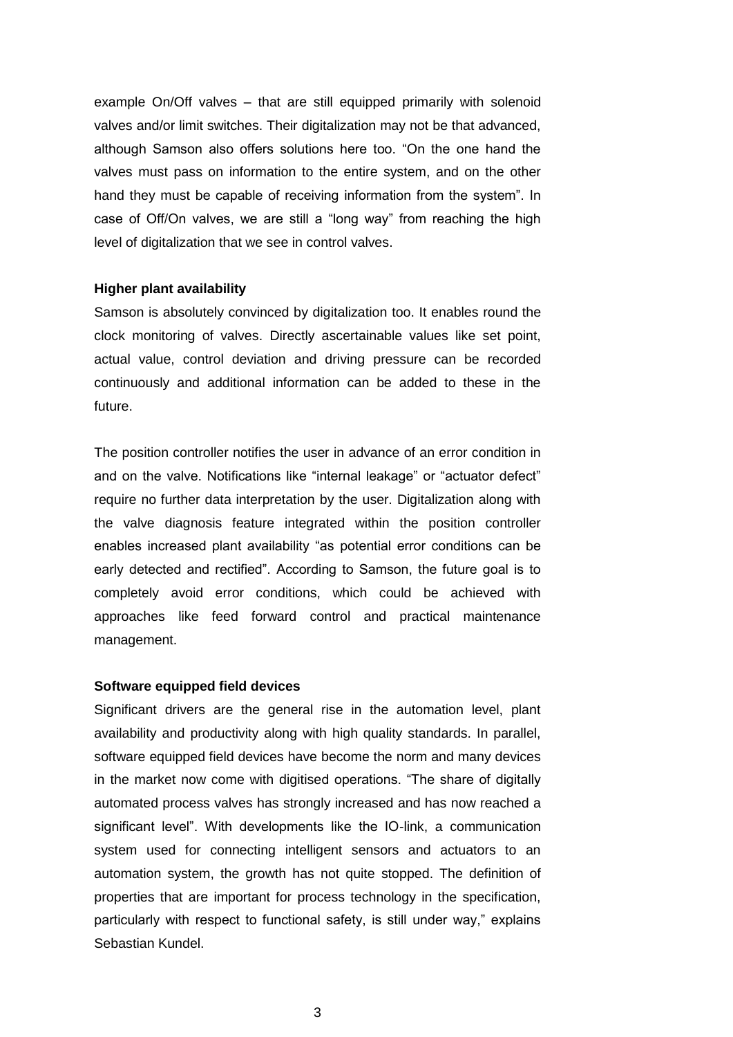example On/Off valves – that are still equipped primarily with solenoid valves and/or limit switches. Their digitalization may not be that advanced, although Samson also offers solutions here too. "On the one hand the valves must pass on information to the entire system, and on the other hand they must be capable of receiving information from the system". In case of Off/On valves, we are still a "long way" from reaching the high level of digitalization that we see in control valves.

# **Higher plant availability**

Samson is absolutely convinced by digitalization too. It enables round the clock monitoring of valves. Directly ascertainable values like set point, actual value, control deviation and driving pressure can be recorded continuously and additional information can be added to these in the future.

The position controller notifies the user in advance of an error condition in and on the valve. Notifications like "internal leakage" or "actuator defect" require no further data interpretation by the user. Digitalization along with the valve diagnosis feature integrated within the position controller enables increased plant availability "as potential error conditions can be early detected and rectified". According to Samson, the future goal is to completely avoid error conditions, which could be achieved with approaches like feed forward control and practical maintenance management.

## **Software equipped field devices**

Significant drivers are the general rise in the automation level, plant availability and productivity along with high quality standards. In parallel, software equipped field devices have become the norm and many devices in the market now come with digitised operations. "The share of digitally automated process valves has strongly increased and has now reached a significant level". With developments like the IO-link, a communication system used for connecting intelligent sensors and actuators to an automation system, the growth has not quite stopped. The definition of properties that are important for process technology in the specification, particularly with respect to functional safety, is still under way," explains Sebastian Kundel.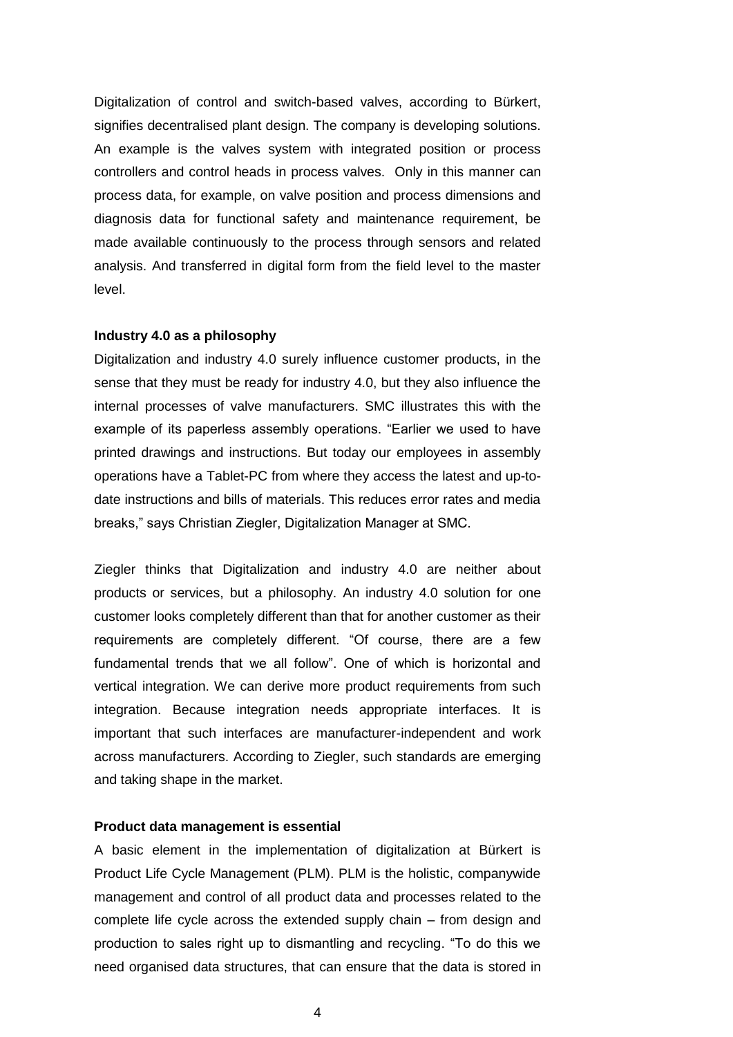Digitalization of control and switch-based valves, according to Bürkert, signifies decentralised plant design. The company is developing solutions. An example is the valves system with integrated position or process controllers and control heads in process valves. Only in this manner can process data, for example, on valve position and process dimensions and diagnosis data for functional safety and maintenance requirement, be made available continuously to the process through sensors and related analysis. And transferred in digital form from the field level to the master level.

### **Industry 4.0 as a philosophy**

Digitalization and industry 4.0 surely influence customer products, in the sense that they must be ready for industry 4.0, but they also influence the internal processes of valve manufacturers. SMC illustrates this with the example of its paperless assembly operations. "Earlier we used to have printed drawings and instructions. But today our employees in assembly operations have a Tablet-PC from where they access the latest and up-todate instructions and bills of materials. This reduces error rates and media breaks," says Christian Ziegler, Digitalization Manager at SMC.

Ziegler thinks that Digitalization and industry 4.0 are neither about products or services, but a philosophy. An industry 4.0 solution for one customer looks completely different than that for another customer as their requirements are completely different. "Of course, there are a few fundamental trends that we all follow". One of which is horizontal and vertical integration. We can derive more product requirements from such integration. Because integration needs appropriate interfaces. It is important that such interfaces are manufacturer-independent and work across manufacturers. According to Ziegler, such standards are emerging and taking shape in the market.

#### **Product data management is essential**

A basic element in the implementation of digitalization at Bürkert is Product Life Cycle Management (PLM). PLM is the holistic, companywide management and control of all product data and processes related to the complete life cycle across the extended supply chain – from design and production to sales right up to dismantling and recycling. "To do this we need organised data structures, that can ensure that the data is stored in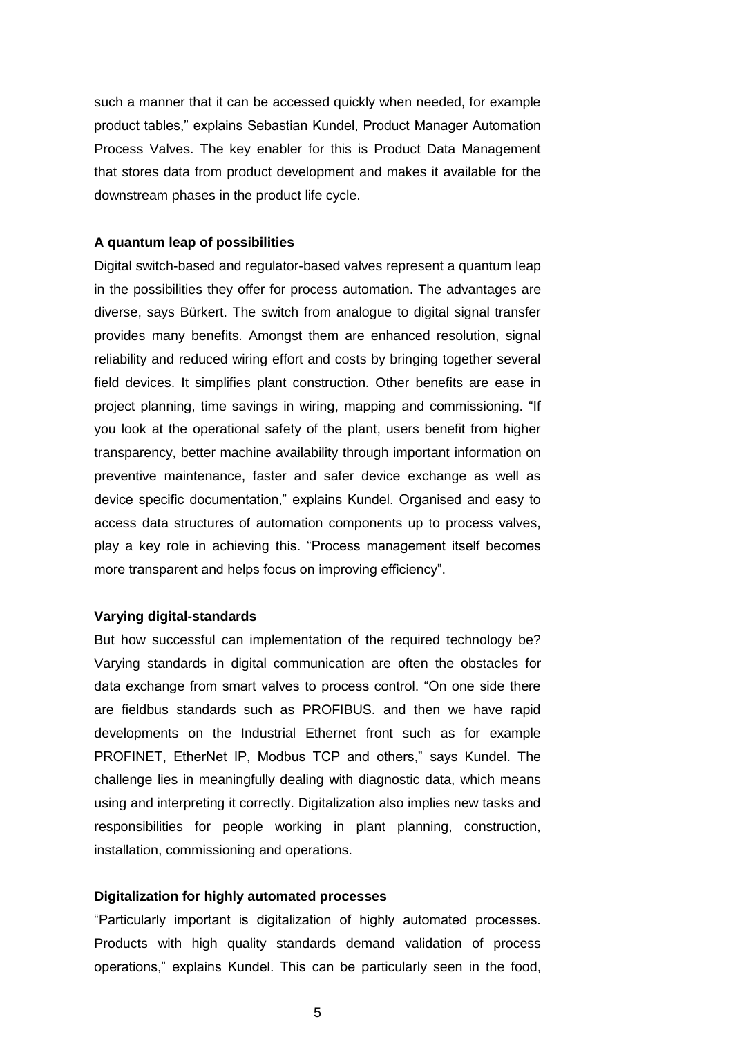such a manner that it can be accessed quickly when needed, for example product tables," explains Sebastian Kundel, Product Manager Automation Process Valves. The key enabler for this is Product Data Management that stores data from product development and makes it available for the downstream phases in the product life cycle.

### **A quantum leap of possibilities**

Digital switch-based and regulator-based valves represent a quantum leap in the possibilities they offer for process automation. The advantages are diverse, says Bürkert. The switch from analogue to digital signal transfer provides many benefits. Amongst them are enhanced resolution, signal reliability and reduced wiring effort and costs by bringing together several field devices. It simplifies plant construction. Other benefits are ease in project planning, time savings in wiring, mapping and commissioning. "If you look at the operational safety of the plant, users benefit from higher transparency, better machine availability through important information on preventive maintenance, faster and safer device exchange as well as device specific documentation," explains Kundel. Organised and easy to access data structures of automation components up to process valves, play a key role in achieving this. "Process management itself becomes more transparent and helps focus on improving efficiency".

# **Varying digital-standards**

But how successful can implementation of the required technology be? Varying standards in digital communication are often the obstacles for data exchange from smart valves to process control. "On one side there are fieldbus standards such as PROFIBUS. and then we have rapid developments on the Industrial Ethernet front such as for example PROFINET, EtherNet IP, Modbus TCP and others," says Kundel. The challenge lies in meaningfully dealing with diagnostic data, which means using and interpreting it correctly. Digitalization also implies new tasks and responsibilities for people working in plant planning, construction, installation, commissioning and operations.

# **Digitalization for highly automated processes**

"Particularly important is digitalization of highly automated processes. Products with high quality standards demand validation of process operations," explains Kundel. This can be particularly seen in the food,